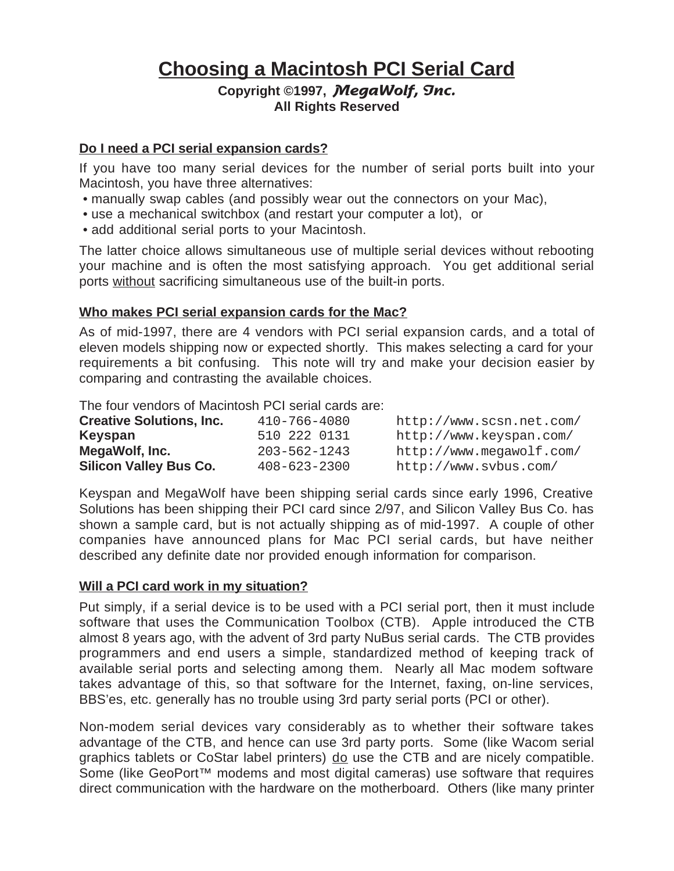# **Choosing a Macintosh PCI Serial Card**

### **Copyright ©1997, MegaWolf, Inc. All Rights Reserved**

#### **Do I need a PCI serial expansion cards?**

If you have too many serial devices for the number of serial ports built into your Macintosh, you have three alternatives:

- manually swap cables (and possibly wear out the connectors on your Mac),
- use a mechanical switchbox (and restart your computer a lot), or
- add additional serial ports to your Macintosh.

The latter choice allows simultaneous use of multiple serial devices without rebooting your machine and is often the most satisfying approach. You get additional serial ports without sacrificing simultaneous use of the built-in ports.

#### **Who makes PCI serial expansion cards for the Mac?**

As of mid-1997, there are 4 vendors with PCI serial expansion cards, and a total of eleven models shipping now or expected shortly. This makes selecting a card for your requirements a bit confusing. This note will try and make your decision easier by comparing and contrasting the available choices.

The four vendors of Macintosh PCI serial cards are:

| <b>Creative Solutions, Inc.</b> | 410-766-4080       | http://www.scsn.net.com/ |
|---------------------------------|--------------------|--------------------------|
| Keyspan                         | 510 222 0131       | http://www.keyspan.com/  |
| MegaWolf, Inc.                  | $203 - 562 - 1243$ | http://www.megawolf.com/ |
| <b>Silicon Valley Bus Co.</b>   | $408 - 623 - 2300$ | http://www.svbus.com/    |

Keyspan and MegaWolf have been shipping serial cards since early 1996, Creative Solutions has been shipping their PCI card since 2/97, and Silicon Valley Bus Co. has shown a sample card, but is not actually shipping as of mid-1997. A couple of other companies have announced plans for Mac PCI serial cards, but have neither described any definite date nor provided enough information for comparison.

#### **Will a PCI card work in my situation?**

Put simply, if a serial device is to be used with a PCI serial port, then it must include software that uses the Communication Toolbox (CTB). Apple introduced the CTB almost 8 years ago, with the advent of 3rd party NuBus serial cards. The CTB provides programmers and end users a simple, standardized method of keeping track of available serial ports and selecting among them. Nearly all Mac modem software takes advantage of this, so that software for the Internet, faxing, on-line services, BBS'es, etc. generally has no trouble using 3rd party serial ports (PCI or other).

Non-modem serial devices vary considerably as to whether their software takes advantage of the CTB, and hence can use 3rd party ports. Some (like Wacom serial graphics tablets or CoStar label printers) do use the CTB and are nicely compatible. Some (like GeoPort<sup>™</sup> modems and most digital cameras) use software that requires direct communication with the hardware on the motherboard. Others (like many printer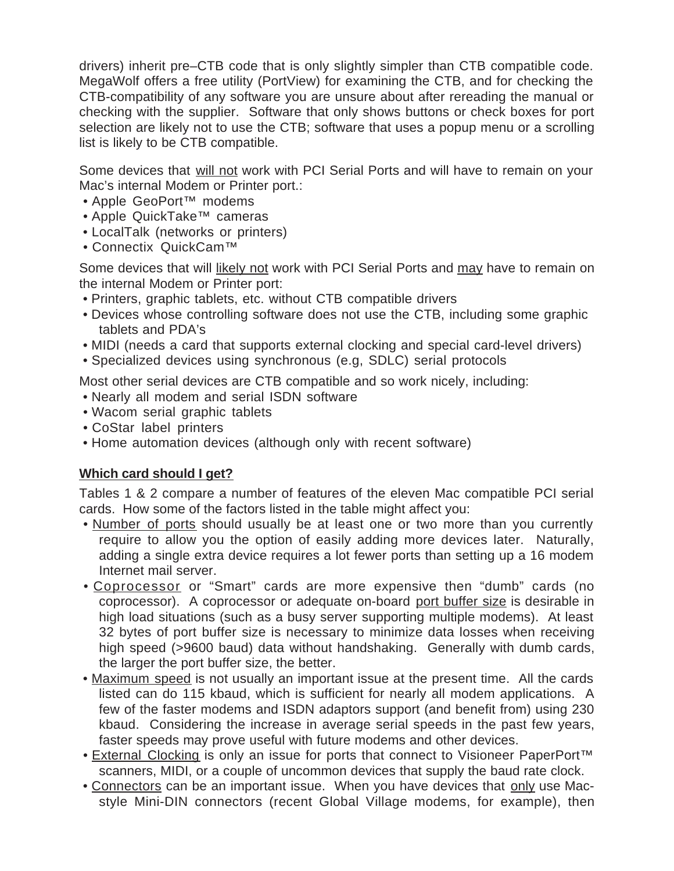drivers) inherit pre–CTB code that is only slightly simpler than CTB compatible code. MegaWolf offers a free utility (PortView) for examining the CTB, and for checking the CTB-compatibility of any software you are unsure about after rereading the manual or checking with the supplier. Software that only shows buttons or check boxes for port selection are likely not to use the CTB; software that uses a popup menu or a scrolling list is likely to be CTB compatible.

Some devices that will not work with PCI Serial Ports and will have to remain on your Mac's internal Modem or Printer port.:

- Apple GeoPort™ modems
- Apple QuickTake™ cameras
- LocalTalk (networks or printers)
- Connectix QuickCam™

Some devices that will likely not work with PCI Serial Ports and may have to remain on the internal Modem or Printer port:

- Printers, graphic tablets, etc. without CTB compatible drivers
- Devices whose controlling software does not use the CTB, including some graphic tablets and PDA's
- MIDI (needs a card that supports external clocking and special card-level drivers)
- Specialized devices using synchronous (e.g, SDLC) serial protocols

Most other serial devices are CTB compatible and so work nicely, including:

- Nearly all modem and serial ISDN software
- Wacom serial graphic tablets
- CoStar label printers
- Home automation devices (although only with recent software)

## **Which card should I get?**

Tables 1 & 2 compare a number of features of the eleven Mac compatible PCI serial cards. How some of the factors listed in the table might affect you:

- Number of ports should usually be at least one or two more than you currently require to allow you the option of easily adding more devices later. Naturally, adding a single extra device requires a lot fewer ports than setting up a 16 modem Internet mail server.
- Coprocessor or "Smart" cards are more expensive then "dumb" cards (no coprocessor). A coprocessor or adequate on-board port buffer size is desirable in high load situations (such as a busy server supporting multiple modems). At least 32 bytes of port buffer size is necessary to minimize data losses when receiving high speed (>9600 baud) data without handshaking. Generally with dumb cards, the larger the port buffer size, the better.
- Maximum speed is not usually an important issue at the present time. All the cards listed can do 115 kbaud, which is sufficient for nearly all modem applications. A few of the faster modems and ISDN adaptors support (and benefit from) using 230 kbaud. Considering the increase in average serial speeds in the past few years, faster speeds may prove useful with future modems and other devices.
- External Clocking is only an issue for ports that connect to Visioneer PaperPort<sup>™</sup> scanners, MIDI, or a couple of uncommon devices that supply the baud rate clock.
- Connectors can be an important issue. When you have devices that only use Macstyle Mini-DIN connectors (recent Global Village modems, for example), then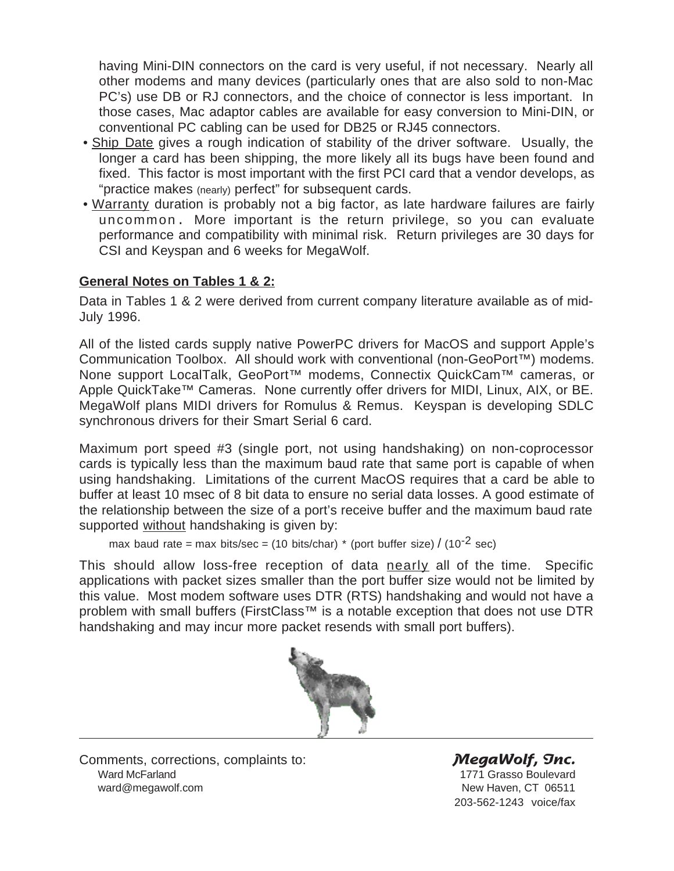having Mini-DIN connectors on the card is very useful, if not necessary. Nearly all other modems and many devices (particularly ones that are also sold to non-Mac PC's) use DB or RJ connectors, and the choice of connector is less important. In those cases, Mac adaptor cables are available for easy conversion to Mini-DIN, or conventional PC cabling can be used for DB25 or RJ45 connectors.

- Ship Date gives a rough indication of stability of the driver software. Usually, the longer a card has been shipping, the more likely all its bugs have been found and fixed. This factor is most important with the first PCI card that a vendor develops, as "practice makes (nearly) perfect" for subsequent cards.
- Warranty duration is probably not a big factor, as late hardware failures are fairly uncommon. More important is the return privilege, so you can evaluate performance and compatibility with minimal risk. Return privileges are 30 days for CSI and Keyspan and 6 weeks for MegaWolf.

## **General Notes on Tables 1 & 2:**

Data in Tables 1 & 2 were derived from current company literature available as of mid-July 1996.

All of the listed cards supply native PowerPC drivers for MacOS and support Apple's Communication Toolbox. All should work with conventional (non-GeoPort™) modems. None support LocalTalk, GeoPort<sup>™</sup> modems, Connectix QuickCam<sup>™</sup> cameras, or Apple QuickTake™ Cameras. None currently offer drivers for MIDI, Linux, AIX, or BE. MegaWolf plans MIDI drivers for Romulus & Remus. Keyspan is developing SDLC synchronous drivers for their Smart Serial 6 card.

Maximum port speed #3 (single port, not using handshaking) on non-coprocessor cards is typically less than the maximum baud rate that same port is capable of when using handshaking. Limitations of the current MacOS requires that a card be able to buffer at least 10 msec of 8 bit data to ensure no serial data losses. A good estimate of the relationship between the size of a port's receive buffer and the maximum baud rate supported without handshaking is given by:

```
max baud rate = max bits/sec = (10 bits/char) * (port buffer size) / (10<sup>-2</sup> sec)
```
This should allow loss-free reception of data nearly all of the time. Specific applications with packet sizes smaller than the port buffer size would not be limited by this value. Most modem software uses DTR (RTS) handshaking and would not have a problem with small buffers (FirstClass<sup>™</sup> is a notable exception that does not use DTR handshaking and may incur more packet resends with small port buffers).



Comments, corrections, complaints to: **MegaWolf, Snc.**<br>Ward McFarland 1771 Grasso Boulevard ward@megawolf.com **New Haven, CT 06511** 

1771 Grasso Boulevard 203-562-1243 voice/fax